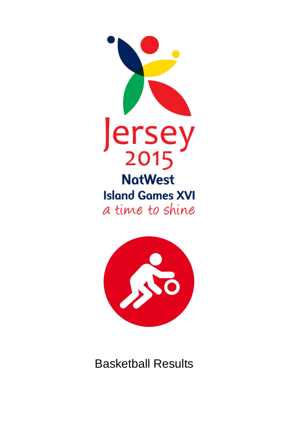



Basketball Results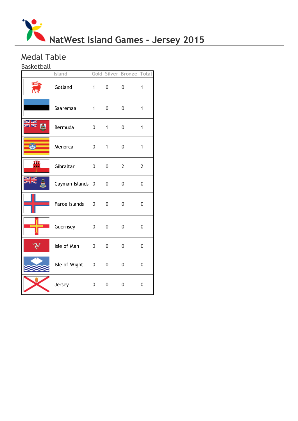

# Medal Table

Basketball

|                  | Island           |                        |                | <b>Gold Silver Bronze Total</b> |                |
|------------------|------------------|------------------------|----------------|---------------------------------|----------------|
| EÍg<br><b>AR</b> | Gotland          | $1 \quad \blacksquare$ | 0              | 0                               | $\mathbf{1}$   |
|                  | Saaremaa         | $1 \quad \blacksquare$ | $\overline{0}$ | 0                               | $\mathbf{1}$   |
|                  | Bermuda          | $\overline{0}$         | 1              | 0                               | $\mathbf{1}$   |
|                  | Menorca          | $\overline{0}$         | $\mathbf{1}$   | 0                               | $\mathbf{1}$   |
| щ                | Gibraltar        | $\mathbf{0}$           | 0              | $\overline{2}$                  | $\overline{2}$ |
|                  | Cayman Islands 0 |                        | 0              | 0                               | $\mathbf 0$    |
|                  | Faroe Islands    | $\overline{0}$         | 0              | 0                               | 0              |
|                  | Guernsey         | $\overline{0}$         | 0              | 0                               | 0              |
|                  | Isle of Man      | 0                      | 0              | $\mathbf 0$                     | 0              |
|                  | Isle of Wight    | $\overline{0}$         | 0              | 0                               | 0              |
|                  | Jersey           | $\overline{0}$         | 0              | 0                               | 0              |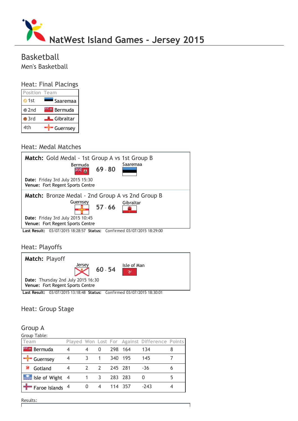

# Basketball Men's Basketball

# Heat: Final Placings

| <b>Position Team</b> |                  |
|----------------------|------------------|
| $\bullet$ 1st        | Saaremaa         |
| $\bullet$ 2nd        | Bermuda          |
| $\bullet$ 3rd        | <b>Cibraltar</b> |
| 4th                  | Guernsey         |

#### Heat: Medal Matches



# Heat: Playoffs



Last Result: 03/07/2015 13:18:48 Status: Confirmed 03/07/2015 18:30:01

# Heat: Group Stage

#### Group A

#### Group Table:

| Team                          |   |               |         |         | Played Won Lost For Against Difference Points |   |
|-------------------------------|---|---------------|---------|---------|-----------------------------------------------|---|
| <b>Externe Bermuda</b>        |   | 0             |         | 298 164 | 134                                           | 8 |
| $\blacksquare$ Guernsey       | 4 |               |         | 340 195 | 145                                           |   |
| Gotland                       |   | $\mathcal{L}$ | 245 281 |         | $-36$                                         | 6 |
| $\frac{1}{2}$ Isle of Wight 4 |   |               | 283 283 |         |                                               |   |
| $\frac{1}{2}$ Faroe Islands 4 |   |               |         | 114 357 | $-243$                                        |   |

п

Results:I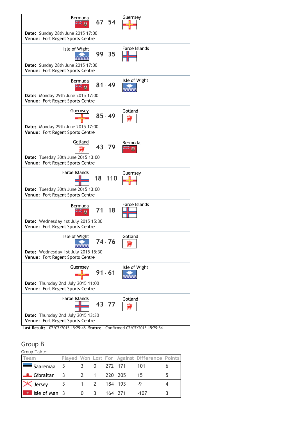

#### Group B

Group Table:

| Team                       |                         |                                                      |             |         |         | Played Won Lost For Against Difference Points |  |
|----------------------------|-------------------------|------------------------------------------------------|-------------|---------|---------|-----------------------------------------------|--|
| $\blacksquare$ Saaremaa    | - 3                     |                                                      | - 0         |         | 272 171 | -101                                          |  |
| Gibraltar                  | $\overline{\mathbf{3}}$ | 2 1 220 205                                          |             |         |         | 15                                            |  |
| <b>X</b> Jersey            |                         |                                                      | 1 2 184 193 |         |         |                                               |  |
| $\mathbb{R}$ Isle of Man 3 |                         | $\left( \begin{array}{c} 0 \\ 0 \end{array} \right)$ |             | 164 271 |         | -107                                          |  |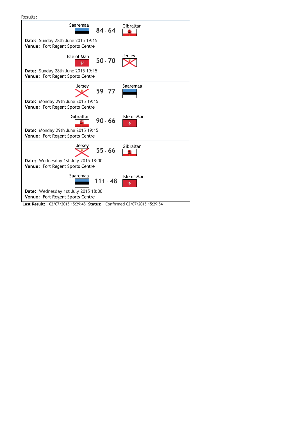

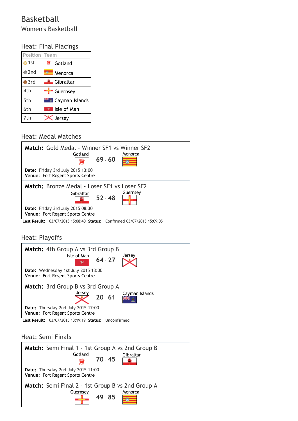# Basketball Women's Basketball

# Heat: Final Placings

| <b>Position Team</b> |                         |
|----------------------|-------------------------|
| $\bullet$ 1st        | Gotland                 |
| $\bullet$ 2nd        | Menorca                 |
| $\bullet$ 3rd        | <del>■</del> Gibraltar  |
| 4th                  | Guernsey                |
| 5th                  | <b>E</b> Cayman Islands |
| 6th                  | Isle of Man             |
| 7th                  | Jersey                  |

# Heat: Medal Matches



Heat: Playoffs

| Match: 4th Group A vs 3rd Group B<br>$64 - 27$<br>Isle of Man<br>Date: Wednesday 1st July 2015 13:00<br><b>Venue: Fort Regent Sports Centre</b> | Jersey         |
|-------------------------------------------------------------------------------------------------------------------------------------------------|----------------|
| Match: 3rd Group B vs 3rd Group A<br>Jersey<br>$20 - 61$<br>Date: Thursday 2nd July 2015 17:00<br><b>Venue: Fort Regent Sports Centre</b>       | Cayman Islands |

Last Result: 03/07/2015 13:19:19 Status: Unconfirmed

### Heat: Semi Finals

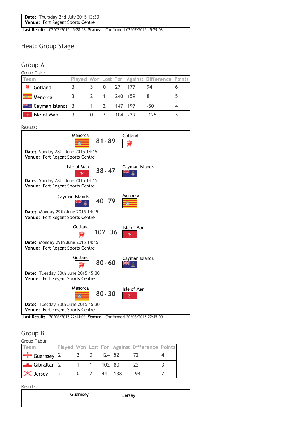Last Result: 02/07/2015 15:28:58 Status: Confirmed 02/07/2015 15:29:03

# Heat: Group Stage

#### Group A

Group Table:

| Team                          |              |           |                       |         | Played Won Lost For Against Difference Points |  |
|-------------------------------|--------------|-----------|-----------------------|---------|-----------------------------------------------|--|
| Gotland                       |              |           | $0\quad 271\quad 177$ |         | 94                                            |  |
| Menorca                       | $\mathbf{Z}$ | 1 240 159 |                       |         | -81                                           |  |
| <b>Fixed</b> Cayman Islands 3 | 1 2 147 197  |           |                       |         | -50                                           |  |
| Isle of Man                   | $\Omega$     |           |                       | 104 229 | $-125$                                        |  |



Last Result: 30/06/2015 22:44:03 Status: Confirmed 30/06/2015 22:45:00

#### Group B

Group Table:

| $\frac{1}{2}$                  |              |  |        |                                               |  |
|--------------------------------|--------------|--|--------|-----------------------------------------------|--|
| Team                           |              |  |        | Played Won Lost For Against Difference Points |  |
| <b>F</b> Guernsey 2 2 0 124 52 |              |  |        | -72                                           |  |
| <b>Example 1</b> Gibraltar 2   | 1 1 1 102 80 |  |        | -77                                           |  |
| $\mathsf{\times}$ Jersey 2 0 2 |              |  | 44 138 | -94                                           |  |

Results: